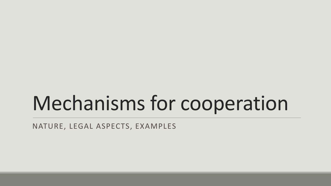# Mechanisms for cooperation

NATURE, LEGAL ASPECTS, EXAMPLES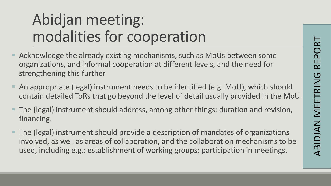## Abidjan meeting: modalities for cooperation

- Acknowledge the already existing mechanisms, such as MoUs between some organizations, and informal cooperation at different levels, and the need for strengthening this further
- An appropriate (legal) instrument needs to be identified (e.g. MoU), which should contain detailed ToRs that go beyond the level of detail usually provided in the MoU.
- The (legal) instrument should address, among other things: duration and revision, financing.
- The (legal) instrument should provide a description of mandates of organizations involved, as well as areas of collaboration, and the collaboration mechanisms to be used, including e.g.: establishment of working groups; participation in meetings.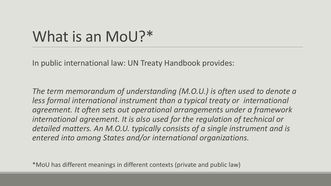### What is an MoU?\*

In public international law: UN Treaty Handbook provides:

*The term memorandum of understanding (M.O.U.) is often used to denote a less formal international instrument than a typical treaty or international agreement. It often sets out operational arrangements under a framework international agreement. It is also used for the regulation of technical or detailed matters. An M.O.U. typically consists of a single instrument and is entered into among States and/or international organizations.*

\*MoU has different meanings in different contexts (private and public law)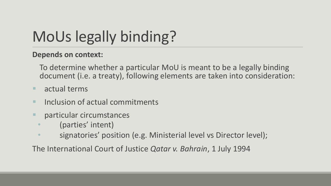# MoUs legally binding?

#### **Depends on context:**

To determine whether a particular MoU is meant to be a legally binding document (i.e. a treaty), following elements are taken into consideration:

- **actual terms**
- **Inclusion of actual commitments**
- **Particular circumstances** 
	- (parties' intent)
	- signatories' position (e.g. Ministerial level vs Director level);

The International Court of Justice *Qatar v. Bahrain*, 1 July 1994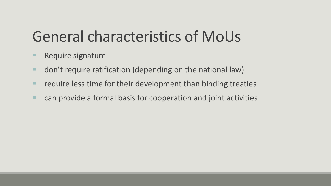### General characteristics of MoUs

- **Require signature**
- don't require ratification (depending on the national law)
- **F** require less time for their development than binding treaties
- can provide a formal basis for cooperation and joint activities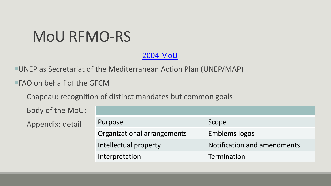### MoU RFMO-RS

[2004 MoU](http://151.1.154.86/GfcmWebSite/GFCM/36/GFCM_XXXVI_2012_Inf.5-e.pdf)

UNEP as Secretariat of the Mediterranean Action Plan (UNEP/MAP)

FAO on behalf of the GFCM

Chapeau: recognition of distinct mandates but common goals

| Body of the MoU: |                             |                             |
|------------------|-----------------------------|-----------------------------|
| Appendix: detail | Purpose                     | Scope                       |
|                  | Organizational arrangements | <b>Emblems logos</b>        |
|                  | Intellectual property       | Notification and amendments |
|                  | Interpretation              | Termination                 |